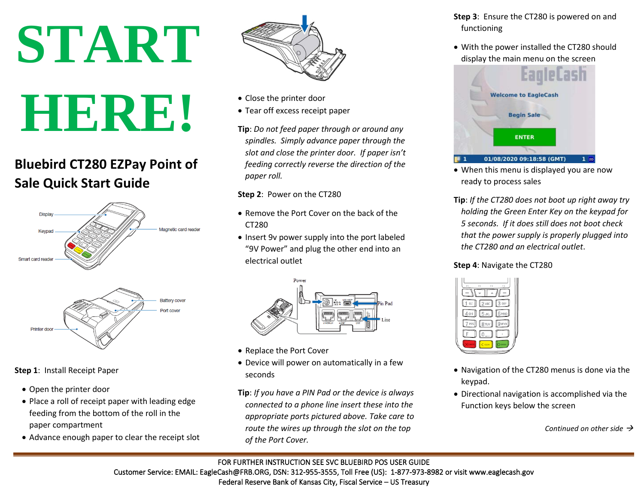# **START HERE!**

# **Bluebird CT280 EZPay Point of Sale Quick Start Guide**



**Step 1**: Install Receipt Paper

- Open the printer door
- Place a roll of receipt paper with leading edge feeding from the bottom of the roll in the paper compartment
- Advance enough paper to clear the receipt slot



- Close the printer door
- Tear off excess receipt paper
- **Tip**: *Do not feed paper through or around any spindles. Simply advance paper through the slot and close the printer door. If paper isn't feeding correctly reverse the direction of the paper roll.*

#### **Step 2**: Power on the CT280

- Remove the Port Cover on the back of the CT280
- Insert 9v power supply into the port labeled "9V Power" and plug the other end into an electrical outlet



- Replace the Port Cover
- Device will power on automatically in a few seconds
- **Tip**: *If you have a PIN Pad or the device is always connected to a phone line insert these into the appropriate ports pictured above. Take care to route the wires up through the slot on the top of the Port Cover.*
- **Step 3**: Ensure the CT280 is powered on and functioning
- With the power installed the CT280 should display the main menu on the screen



- When this menu is displayed you are now ready to process sales
- **Tip**: *If the CT280 does not boot up right away try holding the Green Enter Key on the keypad for 5 seconds. If it does still does not boot check that the power supply is properly plugged into the CT280 and an electrical outlet*.

#### **Step 4**: Navigate the CT280



- Navigation of the CT280 menus is done via the keypad.
- Directional navigation is accomplished via the Function keys below the screen

*Continued on other side*